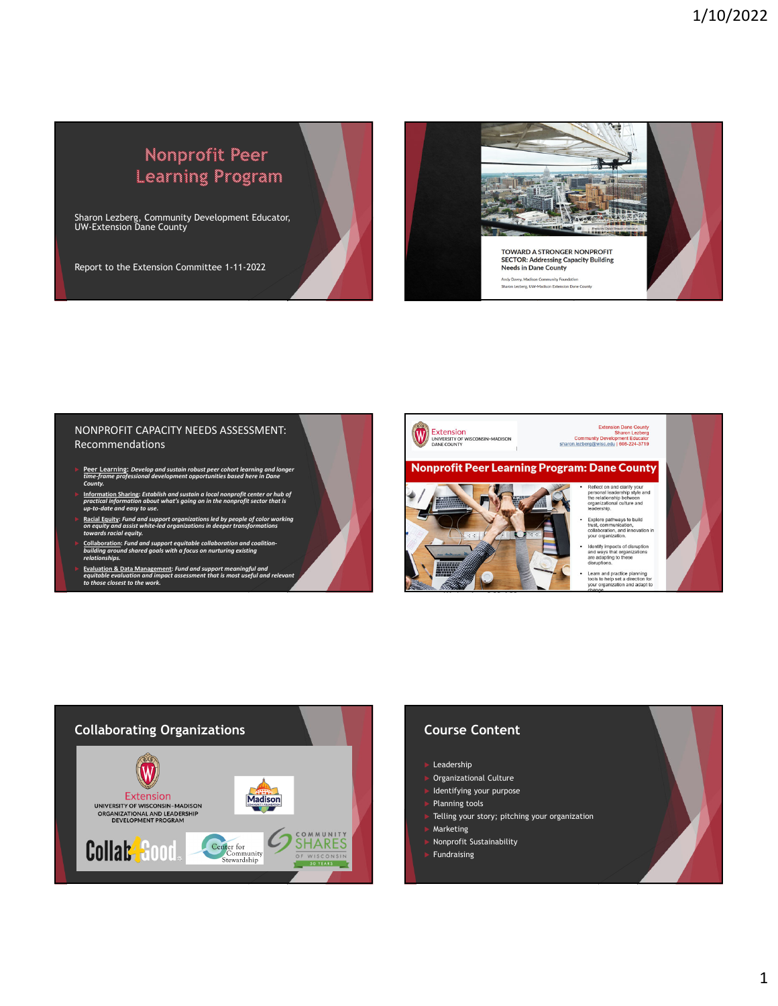# Nonprofit Peer Learning Program

Sharon Lezberg, Community Development Educator, UW-Extension Dane County

Report to the Extension Committee 1-11-2022



### NONPROFIT CAPACITY NEEDS ASSESSMENT: Recommendations

- ► Peer Learning: Develop and sustain robust peer cohort learning and longer<br>time-frame professional development opportunities based here in Dane ne-fra.<br><sup>,</sup>unty.
- $\blacktriangleright$  <u>Information Sharing</u>: Establish and sustain a local nonprofit center or hub of<br>practical information about what's going on in the nonprofit sector that is<br>up-to-date and easy to use.
- $\triangleright$  <u>Racial Equity</u>: Fund and support organizations led by people of color working<br>on equity and assist white-led organizations in deeper transformations<br>towards racial equity.
- ► <u>Collaboration:</u> Fund and support equitable collaboration and coalition-<br>building around shared goals with a focus on nurturing existing<br>relationships.
- **Exaluation & Data Management: Fund and support meaningful and<br>equitable evaluation and impact assessment that is most useful and relevant<br>to those closest to the work.**





- Leadership
- Organizational Culture
- Identifying your purpose
- Planning tools
	- Telling your story; pitching your organization
- Marketing
- Nonprofit Sustainability
- Fundraising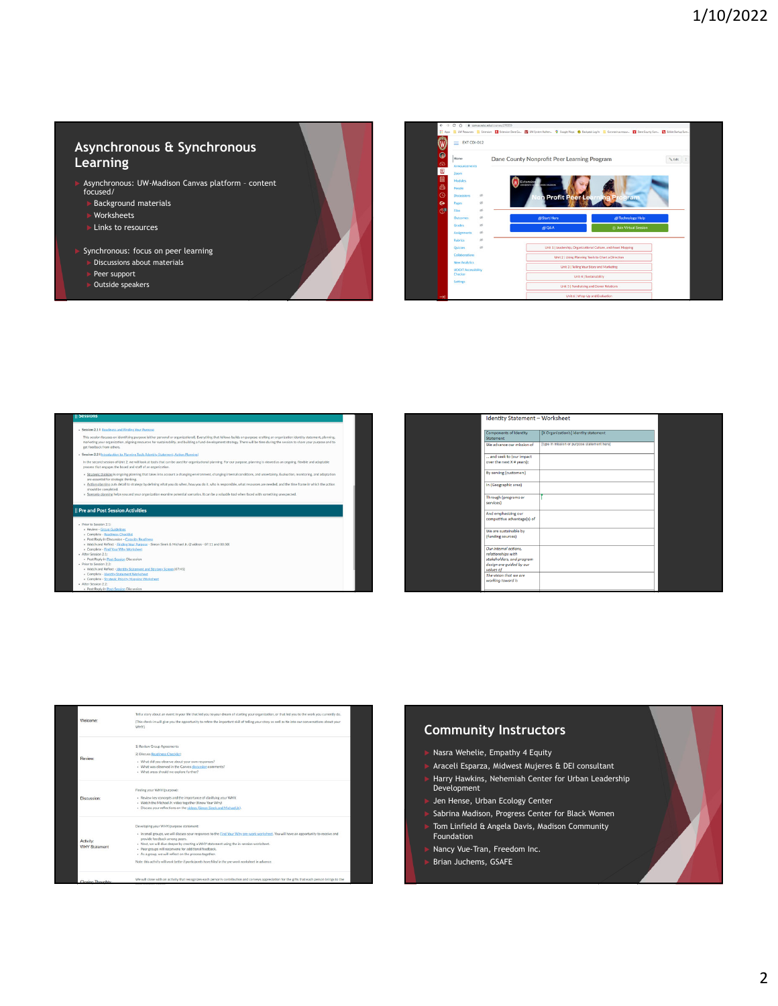# **Asynchronous & Synchronous Learning**

- Asynchronous: UW-Madison Canvas platform content focused/
- 
- Background materials
- Worksheets
- Links to resources
- Synchronous: focus on peer learning
- Discussions about materials
- 
- Peer support Outside speakers

0 · • canaxaiscedultourne(27635)<br>Wilmoren · <mark>II</mark> Edmion · <mark>II</mark> Edmion.Dea Co. · <mark>II</mark> UX'lytem.Adlan. · 9 Gogistleys · ● Belgestagth · III Conneira resor. · III Cale Conny Com. · I**II** Edite O  $\equiv$  EXT CDI-012  $\mathcal{N}_k$  Edit $\qquad$  ( Dane County Nonprofit Peer Learning Program Unit 2 | Using Pla Unit 3 | Telling Your Story and Ma Unit 4 | Sustainability

- 
- lession 2.2 I Intro of Unit 2, we will look at too
- 
- 
- 

### || Pre and Post Session Activit

- $n 2.1$
- k & Michael Jr. (2 videos 07:11 and 03:50
- 
- 
- 
- 
- 
- 
- 

| <b>Identity Statement - Worksheet</b>                                                                             |                                             |  |
|-------------------------------------------------------------------------------------------------------------------|---------------------------------------------|--|
| Components of Identity<br>Statement                                                                               | [X Organization's] identity statement       |  |
| We advance our mission of                                                                                         | [type in mission or purpose statement here] |  |
| and seek to (our impact                                                                                           |                                             |  |
| over the next X # years):                                                                                         |                                             |  |
| By serving (customers)                                                                                            |                                             |  |
| In (Geographic area)                                                                                              |                                             |  |
| Through (programs or<br>services)                                                                                 |                                             |  |
| And emphasizing our<br>competitive advantage(s) of                                                                |                                             |  |
| We are sustainable by<br>(funding sources)                                                                        |                                             |  |
| Our Internal actions,<br>relationships with<br>stakeholders, and program<br>design are guided by our<br>values of |                                             |  |
| The vision that we are<br>working toward is                                                                       |                                             |  |

|                      | Tell a story about an event in your life that led you to your dream of starting your organization, or that led you to the work you currently do.           |
|----------------------|------------------------------------------------------------------------------------------------------------------------------------------------------------|
| Welcome:             | (This check-in will give you the opportunity to refine the important skill of telling your story as well as tie into our conversations about your<br>WHY.) |
|                      | 1) Review Group Agreements                                                                                                                                 |
| Review:              | 2) Discuss Readiness Checklist:                                                                                                                            |
|                      | · What did you observe about your own responses?                                                                                                           |
|                      | . What was observed in the Canyas discussion comments?                                                                                                     |
|                      | · What areas should we explore further?                                                                                                                    |
|                      | Finding your WHY (purpose):                                                                                                                                |
| Discussion:          | . Review key concepts and the importance of clarifying your WHY.                                                                                           |
|                      | . Watch the Michael Jr. video together (Know Your Why)                                                                                                     |
|                      | . Discuss your reflections on the videos (Simon Sinek and Michael Jr.).                                                                                    |
|                      | Developing your WHY/purpose statement:                                                                                                                     |
|                      | . In small groups, we will discuss your responses to the Find Your Why pre-work worksheet. You will have an opportunity to receive and                     |
| Activity:            | provide feedback among peers.<br>. Next, we will dive deeper by creating a WHY statement using the in-session worksheet.                                   |
| <b>WHY Statement</b> | · Peer groups will reconvene for additional feedback.                                                                                                      |
|                      | · As a group, we will reflect on the process together.                                                                                                     |
|                      |                                                                                                                                                            |

### **Community Instructors**

- Nasra Wehelie, Empathy 4 Equity
- Araceli Esparza, Midwest Mujeres & DEI consultant
- Harry Hawkins, Nehemiah Center for Urban Leadership Development
- Jen Hense, Urban Ecology Center
- Sabrina Madison, Progress Center for Black Women
- Tom Linfield & Angela Davis, Madison Community Foundation
- Nancy Vue-Tran, Freedom Inc.
- Brian Juchems, GSAFE